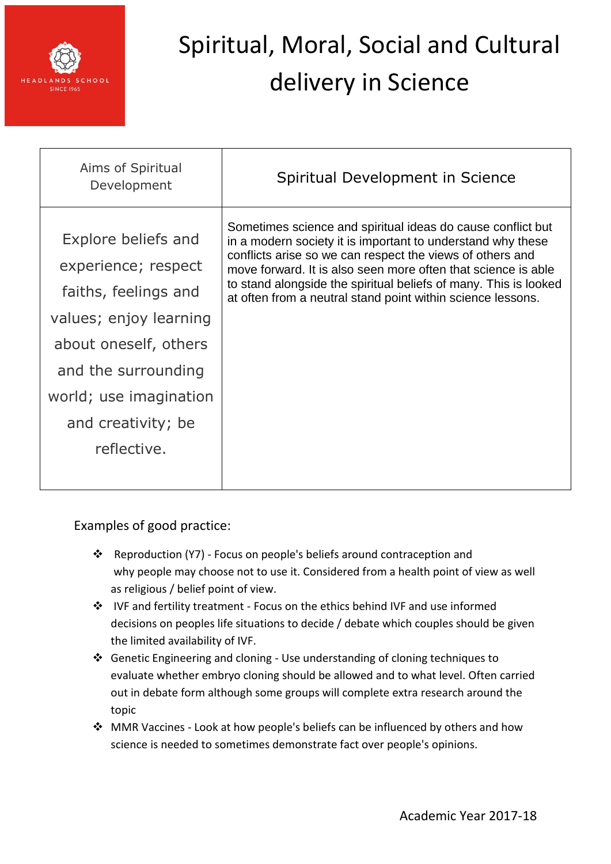

| Sometimes science and spiritual ideas do cause conflict but<br>Explore beliefs and<br>in a modern society it is important to understand why these<br>conflicts arise so we can respect the views of others and<br>experience; respect<br>move forward. It is also seen more often that science is able<br>to stand alongside the spiritual beliefs of many. This is looked<br>faiths, feelings and<br>at often from a neutral stand point within science lessons.<br>values; enjoy learning<br>about oneself, others<br>and the surrounding<br>world; use imagination<br>and creativity; be<br>reflective. | Aims of Spiritual<br>Development | Spiritual Development in Science |
|------------------------------------------------------------------------------------------------------------------------------------------------------------------------------------------------------------------------------------------------------------------------------------------------------------------------------------------------------------------------------------------------------------------------------------------------------------------------------------------------------------------------------------------------------------------------------------------------------------|----------------------------------|----------------------------------|
|                                                                                                                                                                                                                                                                                                                                                                                                                                                                                                                                                                                                            |                                  |                                  |

- Reproduction (Y7) Focus on people's beliefs around contraception and why people may choose not to use it. Considered from a health point of view as well as religious / belief point of view.
- IVF and fertility treatment Focus on the ethics behind IVF and use informed decisions on peoples life situations to decide / debate which couples should be given the limited availability of IVF.
- Genetic Engineering and cloning Use understanding of cloning techniques to evaluate whether embryo cloning should be allowed and to what level. Often carried out in debate form although some groups will complete extra research around the topic
- ❖ MMR Vaccines Look at how people's beliefs can be influenced by others and how science is needed to sometimes demonstrate fact over people's opinions.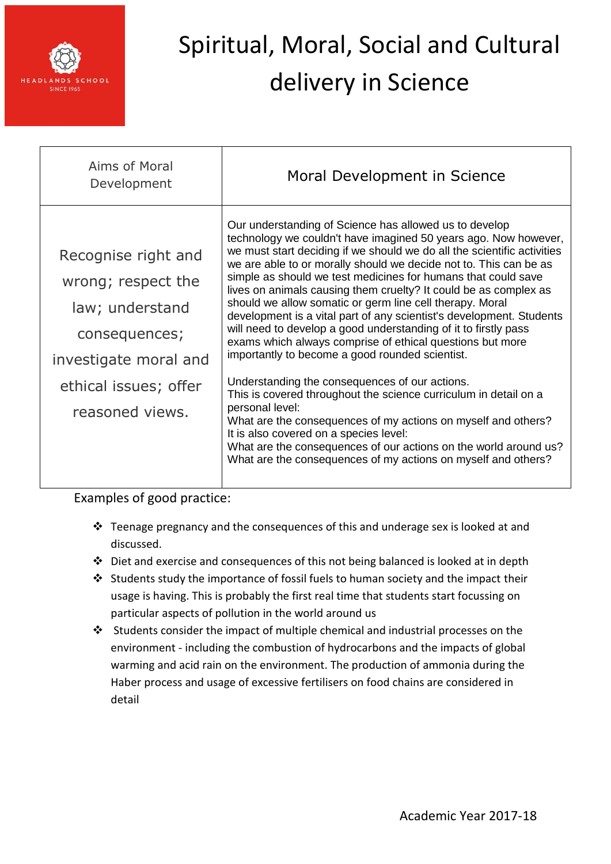

| Aims of Moral<br>Development                                                                                                                       | Moral Development in Science                                                                                                                                                                                                                                                                                                                                                                                                                                                                                                                                                                                                                                                                                                                                                                                                                                                                                                                                                                                                                                                                                                   |
|----------------------------------------------------------------------------------------------------------------------------------------------------|--------------------------------------------------------------------------------------------------------------------------------------------------------------------------------------------------------------------------------------------------------------------------------------------------------------------------------------------------------------------------------------------------------------------------------------------------------------------------------------------------------------------------------------------------------------------------------------------------------------------------------------------------------------------------------------------------------------------------------------------------------------------------------------------------------------------------------------------------------------------------------------------------------------------------------------------------------------------------------------------------------------------------------------------------------------------------------------------------------------------------------|
| Recognise right and<br>wrong; respect the<br>law; understand<br>consequences;<br>investigate moral and<br>ethical issues; offer<br>reasoned views. | Our understanding of Science has allowed us to develop<br>technology we couldn't have imagined 50 years ago. Now however,<br>we must start deciding if we should we do all the scientific activities<br>we are able to or morally should we decide not to. This can be as<br>simple as should we test medicines for humans that could save<br>lives on animals causing them cruelty? It could be as complex as<br>should we allow somatic or germ line cell therapy. Moral<br>development is a vital part of any scientist's development. Students<br>will need to develop a good understanding of it to firstly pass<br>exams which always comprise of ethical questions but more<br>importantly to become a good rounded scientist.<br>Understanding the consequences of our actions.<br>This is covered throughout the science curriculum in detail on a<br>personal level:<br>What are the consequences of my actions on myself and others?<br>It is also covered on a species level:<br>What are the consequences of our actions on the world around us?<br>What are the consequences of my actions on myself and others? |

- $\cdot$  Teenage pregnancy and the consequences of this and underage sex is looked at and discussed.
- $\cdot$  Diet and exercise and consequences of this not being balanced is looked at in depth
- $\cdot$  Students study the importance of fossil fuels to human society and the impact their usage is having. This is probably the first real time that students start focussing on particular aspects of pollution in the world around us
- $\cdot$  Students consider the impact of multiple chemical and industrial processes on the environment - including the combustion of hydrocarbons and the impacts of global warming and acid rain on the environment. The production of ammonia during the Haber process and usage of excessive fertilisers on food chains are considered in detail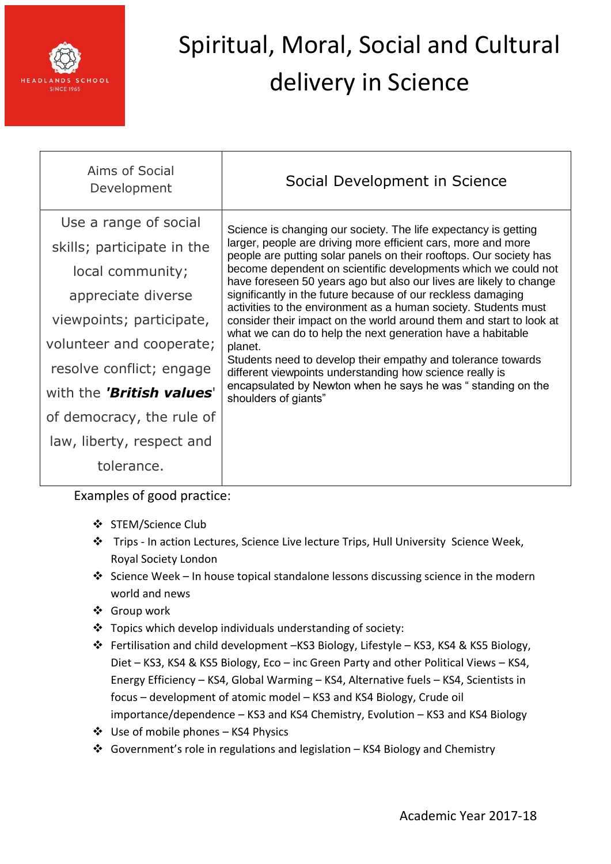

| Aims of Social<br>Development | Social Development in Science                                                                                                                                                                                                                                                                                                                                                                                                                                                                                                                                                                                                                                                                                                                                                                                                                         |
|-------------------------------|-------------------------------------------------------------------------------------------------------------------------------------------------------------------------------------------------------------------------------------------------------------------------------------------------------------------------------------------------------------------------------------------------------------------------------------------------------------------------------------------------------------------------------------------------------------------------------------------------------------------------------------------------------------------------------------------------------------------------------------------------------------------------------------------------------------------------------------------------------|
| Use a range of social         | Science is changing our society. The life expectancy is getting<br>larger, people are driving more efficient cars, more and more<br>people are putting solar panels on their rooftops. Our society has<br>become dependent on scientific developments which we could not<br>have foreseen 50 years ago but also our lives are likely to change<br>significantly in the future because of our reckless damaging<br>activities to the environment as a human society. Students must<br>consider their impact on the world around them and start to look at<br>what we can do to help the next generation have a habitable<br>planet.<br>Students need to develop their empathy and tolerance towards<br>different viewpoints understanding how science really is<br>encapsulated by Newton when he says he was "standing on the<br>shoulders of giants" |
| skills; participate in the    |                                                                                                                                                                                                                                                                                                                                                                                                                                                                                                                                                                                                                                                                                                                                                                                                                                                       |
| local community;              |                                                                                                                                                                                                                                                                                                                                                                                                                                                                                                                                                                                                                                                                                                                                                                                                                                                       |
| appreciate diverse            |                                                                                                                                                                                                                                                                                                                                                                                                                                                                                                                                                                                                                                                                                                                                                                                                                                                       |
| viewpoints; participate,      |                                                                                                                                                                                                                                                                                                                                                                                                                                                                                                                                                                                                                                                                                                                                                                                                                                                       |
| volunteer and cooperate;      |                                                                                                                                                                                                                                                                                                                                                                                                                                                                                                                                                                                                                                                                                                                                                                                                                                                       |
| resolve conflict; engage      |                                                                                                                                                                                                                                                                                                                                                                                                                                                                                                                                                                                                                                                                                                                                                                                                                                                       |
| with the 'British values'     |                                                                                                                                                                                                                                                                                                                                                                                                                                                                                                                                                                                                                                                                                                                                                                                                                                                       |
| of democracy, the rule of     |                                                                                                                                                                                                                                                                                                                                                                                                                                                                                                                                                                                                                                                                                                                                                                                                                                                       |
| law, liberty, respect and     |                                                                                                                                                                                                                                                                                                                                                                                                                                                                                                                                                                                                                                                                                                                                                                                                                                                       |
| tolerance.                    |                                                                                                                                                                                                                                                                                                                                                                                                                                                                                                                                                                                                                                                                                                                                                                                                                                                       |

- ❖ STEM/Science Club
- Trips In action Lectures, Science Live lecture Trips, Hull University Science Week, Royal Society London
- Science Week In house topical standalone lessons discussing science in the modern world and news
- Group work
- $\cdot$  Topics which develop individuals understanding of society:
- Fertilisation and child development –KS3 Biology, Lifestyle KS3, KS4 & KS5 Biology, Diet – KS3, KS4 & KS5 Biology, Eco – inc Green Party and other Political Views – KS4, Energy Efficiency – KS4, Global Warming – KS4, Alternative fuels – KS4, Scientists in focus – development of atomic model – KS3 and KS4 Biology, Crude oil importance/dependence – KS3 and KS4 Chemistry, Evolution – KS3 and KS4 Biology
- $\triangleleft$  Use of mobile phones KS4 Physics
- Government's role in regulations and legislation KS4 Biology and Chemistry